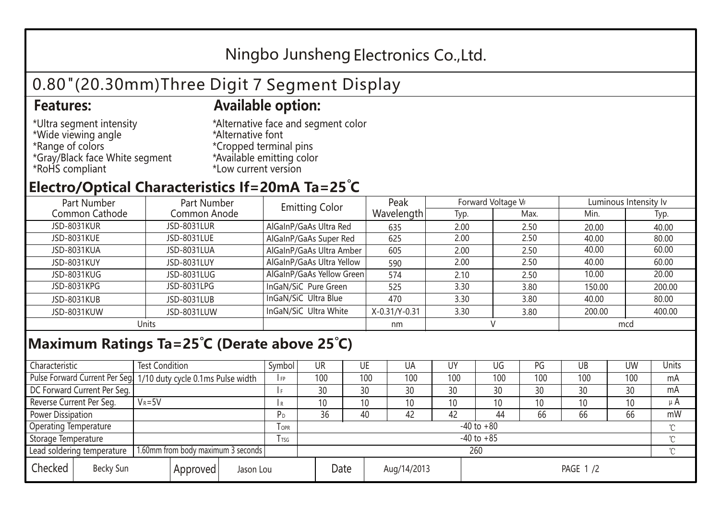## Ningbo Junsheng Electronics Co.,Ltd.

# 0.80"(20.30mm)Three Digit 7 Segment Display

### **Features: Available option:**

- \*Ultra segment intensity \*Wide viewing angle \*Range of colors \*Gray/Black face White segment \*RoHS compliant
- \*Alternative face and segment color \*Alternative font \*Cropped terminal pins \*Available emitting color \*Low current version

### **Electro/Optical Characteristics If=20mA Ta=25 C**

| Part Number<br>Part Number |              | <b>Emitting Color</b>     | Peak          | Forward Voltage VF |      | Luminous Intensity lv |        |  |
|----------------------------|--------------|---------------------------|---------------|--------------------|------|-----------------------|--------|--|
| Common Cathode             | Common Anode |                           | Wavelength    | Typ.               | Max. | Min.                  | Typ.   |  |
| <b>JSD-8031KUR</b>         | JSD-8031LUR  | AlGaInP/GaAs Ultra Red    | 635           | 2.00               | 2.50 | 20.00                 | 40.00  |  |
| JSD-8031KUE                | JSD-8031LUE  | AlGaInP/GaAs Super Red    | 625           | 2.00               | 2.50 | 40.00                 | 80.00  |  |
| JSD-8031KUA                | JSD-8031LUA  | AlGaInP/GaAs Ultra Amber  | 605           | 2.00               | 2.50 | 40.00                 | 60.00  |  |
| JSD-8031KUY                | JSD-8031LUY  | AlGaInP/GaAs Ultra Yellow | 590           | 2.00               | 2.50 | 40.00                 | 60.00  |  |
| JSD-8031KUG                | JSD-8031LUG  | AlGaInP/GaAs Yellow Green | 574           | 2.10               | 2.50 | 10.00                 | 20.00  |  |
| JSD-8031KPG                | JSD-8031LPG  | InGaN/SiC Pure Green      | 525           | 3.30               | 3.80 | 150.00                | 200.00 |  |
| JSD-8031KUB                | JSD-8031LUB  | InGaN/SiC Ultra Blue      | 470           | 3.30               | 3.80 | 40.00                 | 80.00  |  |
| JSD-8031KUW                | JSD-8031LUW  | InGaN/SiC Ultra White     | X-0.31/Y-0.31 | 3.30               | 3.80 | 200.00                | 400.00 |  |
| Units                      |              |                           | nm            |                    |      | mcd                   |        |  |

#### **Maximum Ratings Ta=25°C (Derate above 25°C)**

| Characteristic                                |            | <b>Test Condition</b><br>Symbol                                  |                     |                | <b>UR</b>       |                 | UE       | UA  | UY  | UG  | PG  | UB              | <b>UW</b> | <b>Units</b> |  |
|-----------------------------------------------|------------|------------------------------------------------------------------|---------------------|----------------|-----------------|-----------------|----------|-----|-----|-----|-----|-----------------|-----------|--------------|--|
|                                               |            | Pulse Forward Current Per Seg. 1/10 duty cycle 0.1ms Pulse width |                     |                | 100             |                 | 100      | 100 | 100 | 100 | 100 | 100             | 100       | mA           |  |
| DC Forward Current Per Seg.                   |            |                                                                  |                     |                | 30              |                 | 30       | 30  | 30  | 30  | 30  | 30              | 30        | mA           |  |
| Reverse Current Per Seg.                      | $V_R = 5V$ |                                                                  |                     |                | 10 <sup>°</sup> |                 | 10       | 10  | 10  | 10  | 10  | 10 <sup>°</sup> | 10        | μ $A$        |  |
| <b>Power Dissipation</b>                      |            |                                                                  |                     |                | 36              |                 | 40       | 42  | 42  | 44  | 66  | 66              | 66        | mW           |  |
| <b>Operating Temperature</b>                  |            |                                                                  | <b>OPR</b>          | $-40$ to $+80$ |                 |                 |          |     |     |     |     |                 | $\sim$    |              |  |
| Storage Temperature                           |            | l tsg                                                            | $-40$ to $+85$      |                |                 |                 |          |     |     |     |     | $\gamma$        |           |              |  |
| Lead soldering temperature                    |            | 1.60mm from body maximum 3 seconds                               |                     |                |                 | 260<br>$\gamma$ |          |     |     |     |     |                 |           |              |  |
| Checked<br>Becky Sun<br>Approved<br>Jason Lou |            |                                                                  | Date<br>Aug/14/2013 |                |                 |                 | PAGE 1/2 |     |     |     |     |                 |           |              |  |